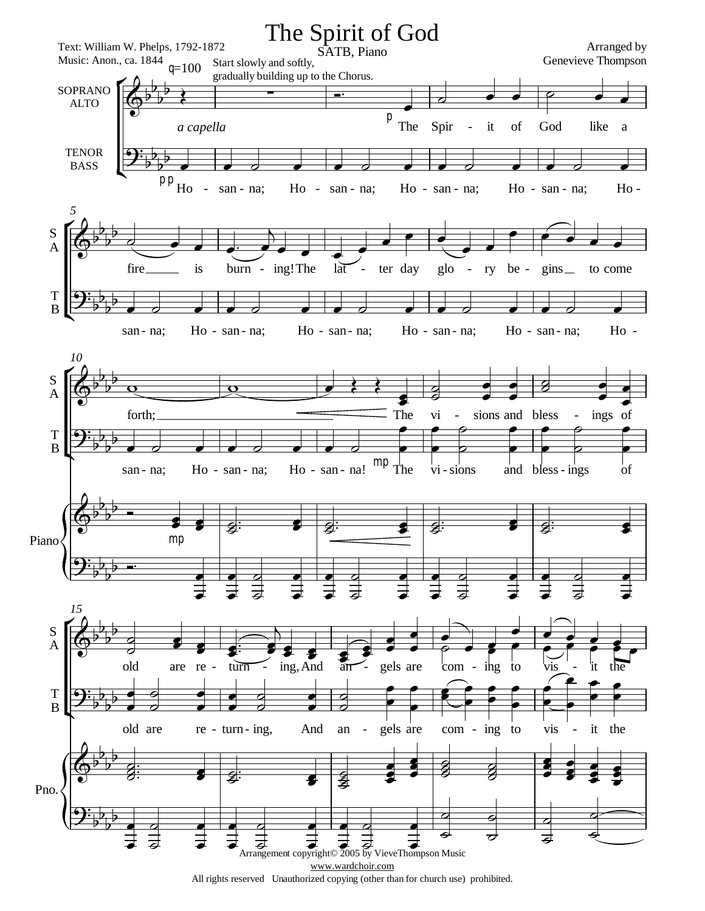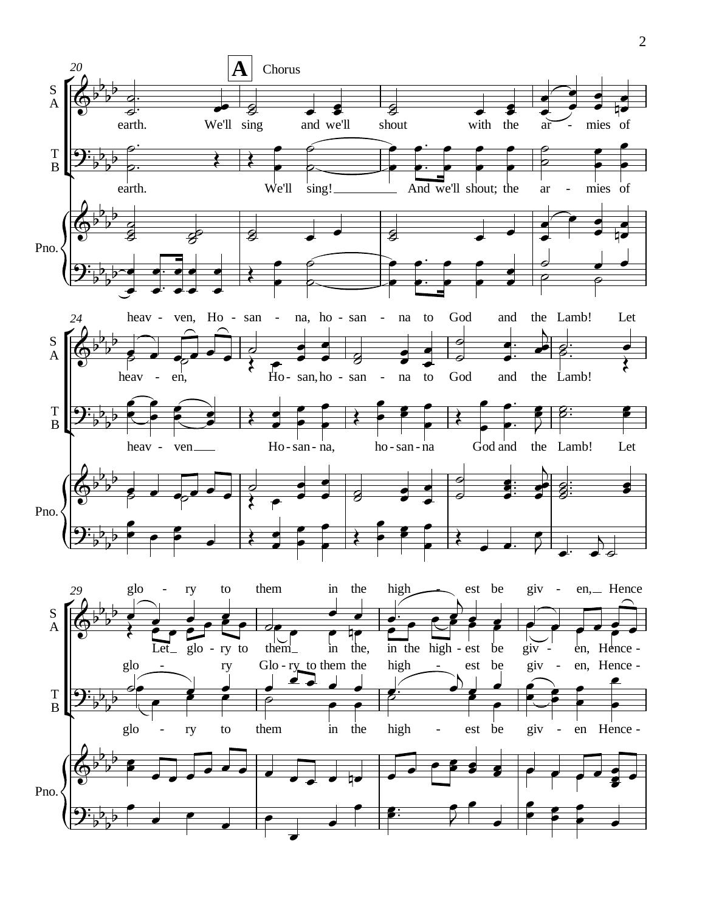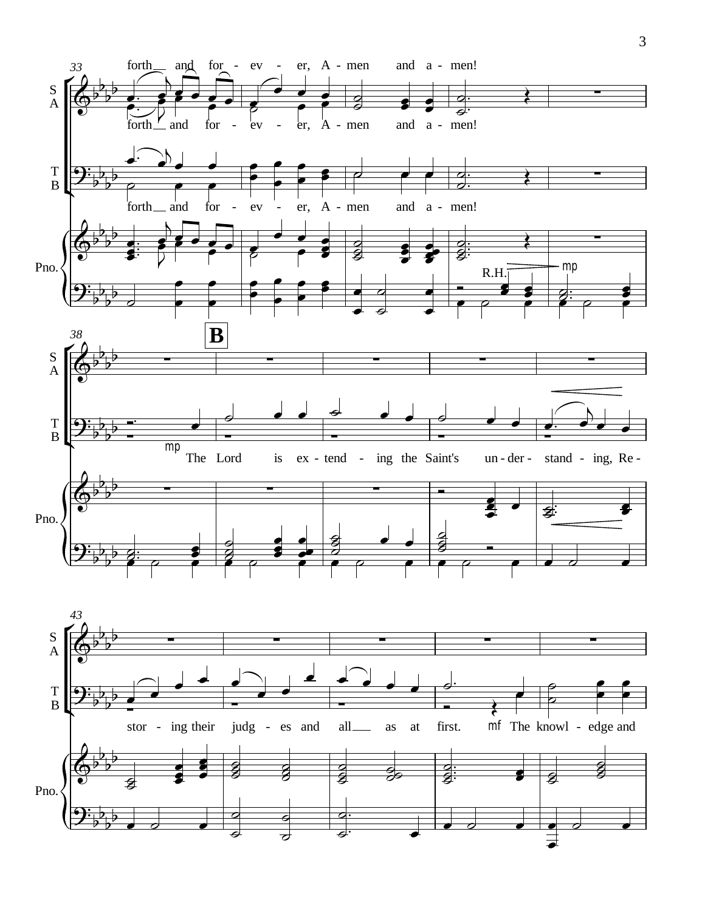

 $\mathfrak{Z}$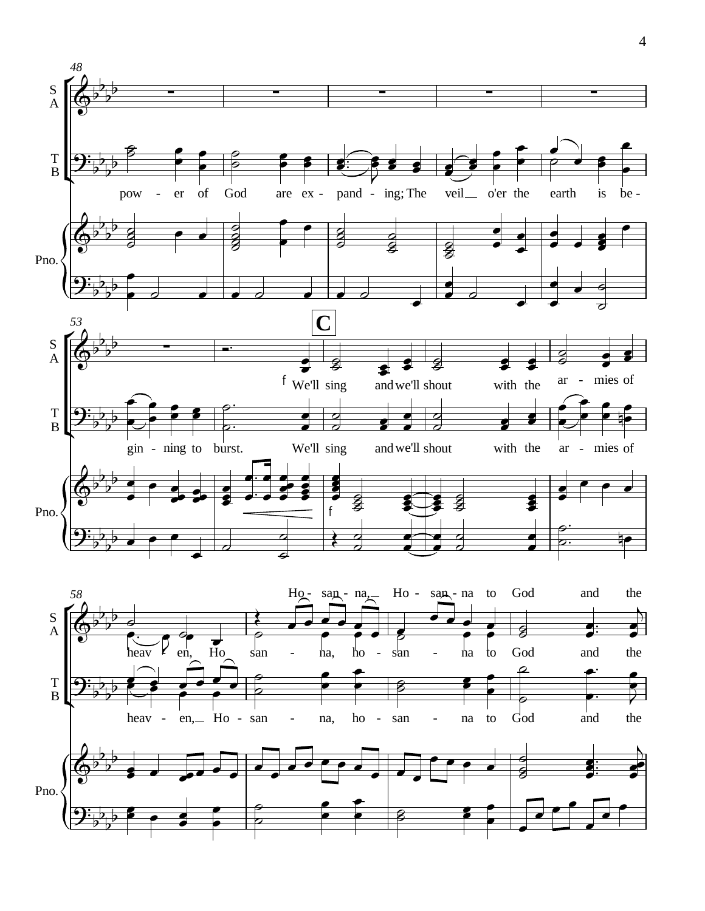

4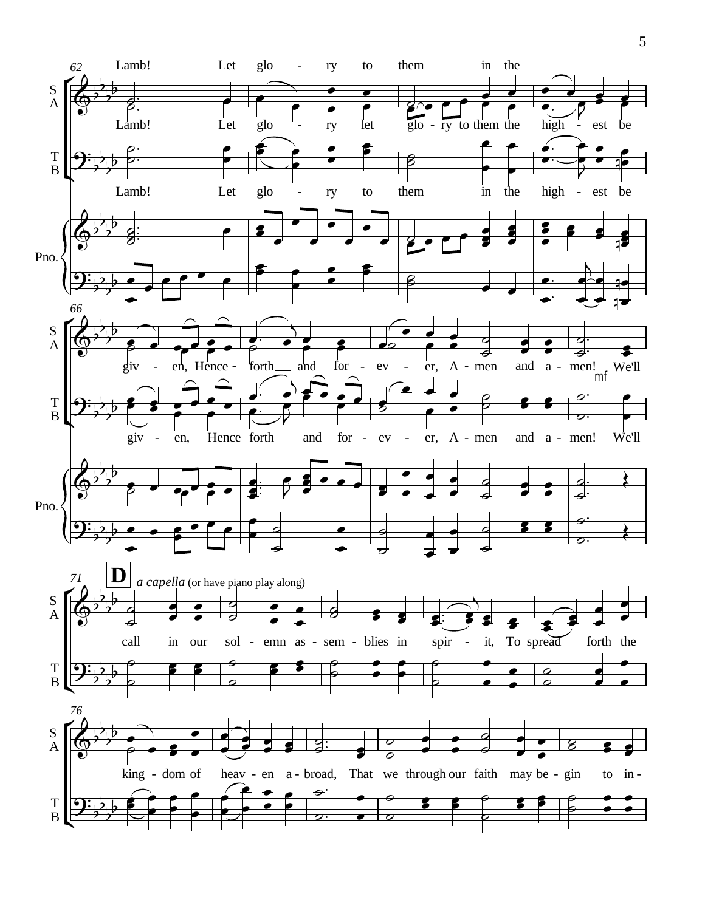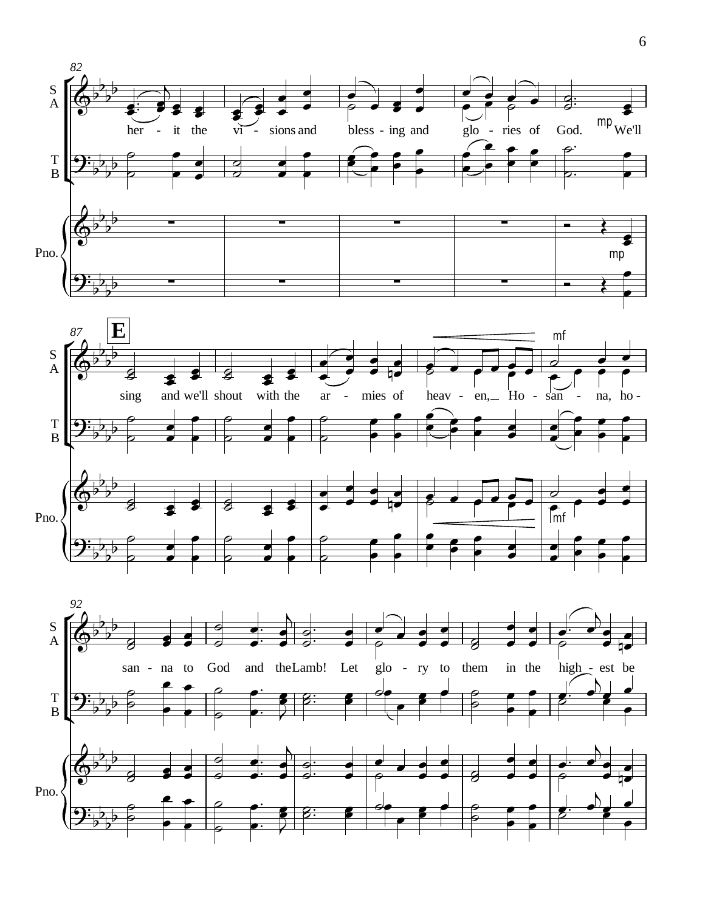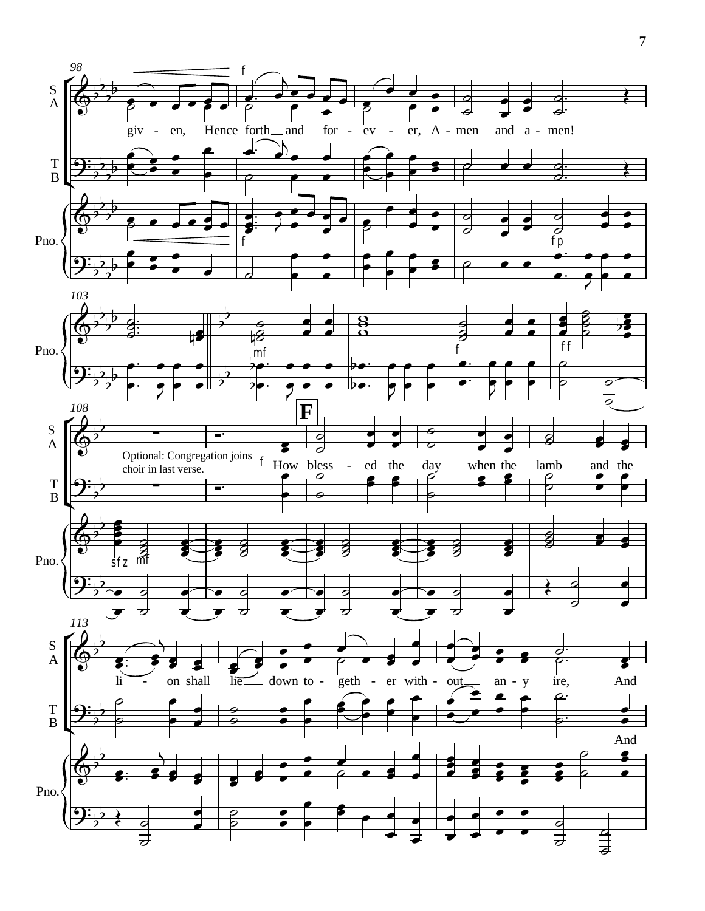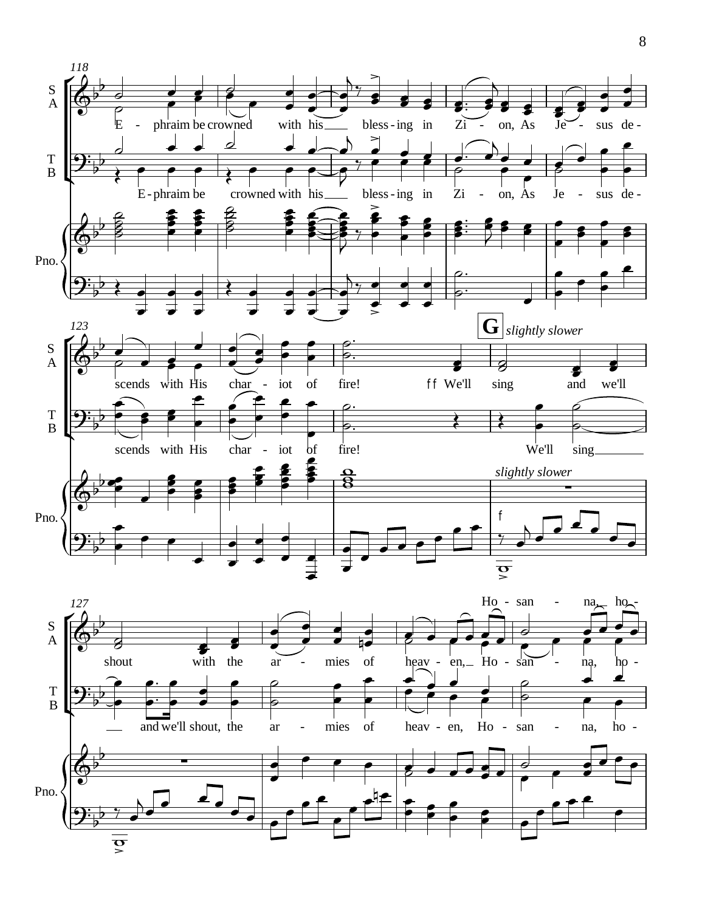

8